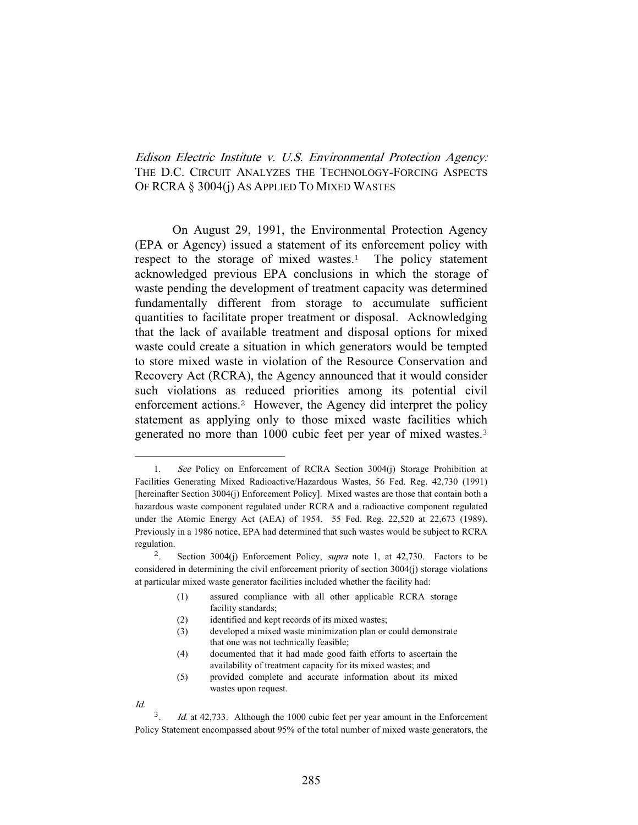Edison Electric Institute v. U.S. Environmental Protection Agency: THE D.C. CIRCUIT ANALYZES THE TECHNOLOGY-FORCING ASPECTS OF RCRA § 3004(j) AS APPLIED TO MIXED WASTES

 On August 29, 1991, the Environmental Protection Agency (EPA or Agency) issued a statement of its enforcement policy with respect to the storage of mixed wastes.<sup>1</sup> The policy statement acknowledged previous EPA conclusions in which the storage of waste pending the development of treatment capacity was determined fundamentally different from storage to accumulate sufficient quantities to facilitate proper treatment or disposal. Acknowledging that the lack of available treatment and disposal options for mixed waste could create a situation in which generators would be tempted to store mixed waste in violation of the Resource Conservation and Recovery Act (RCRA), the Agency announced that it would consider such violations as reduced priorities among its potential civil enforcement actions.<sup>2</sup> However, the Agency did interpret the policy statement as applying only to those mixed waste facilities which generated no more than 1000 cubic feet per year of mixed wastes.<sup>3</sup>

- (1) assured compliance with all other applicable RCRA storage facility standards;
- (2) identified and kept records of its mixed wastes;
- (3) developed a mixed waste minimization plan or could demonstrate that one was not technically feasible;
- (4) documented that it had made good faith efforts to ascertain the availability of treatment capacity for its mixed wastes; and

Id.

<sup>1.</sup> See Policy on Enforcement of RCRA Section 3004(j) Storage Prohibition at Facilities Generating Mixed Radioactive/Hazardous Wastes, 56 Fed. Reg. 42,730 (1991) [hereinafter Section 3004(j) Enforcement Policy]. Mixed wastes are those that contain both a hazardous waste component regulated under RCRA and a radioactive component regulated under the Atomic Energy Act (AEA) of 1954. 55 Fed. Reg. 22,520 at 22,673 (1989). Previously in a 1986 notice, EPA had determined that such wastes would be subject to RCRA regulation.

Section 3004(j) Enforcement Policy, *supra* note 1, at 42,730. Factors to be considered in determining the civil enforcement priority of section 3004(j) storage violations at particular mixed waste generator facilities included whether the facility had:

<sup>(5)</sup> provided complete and accurate information about its mixed wastes upon request.

Id. at 42,733. Although the 1000 cubic feet per year amount in the Enforcement Policy Statement encompassed about 95% of the total number of mixed waste generators, the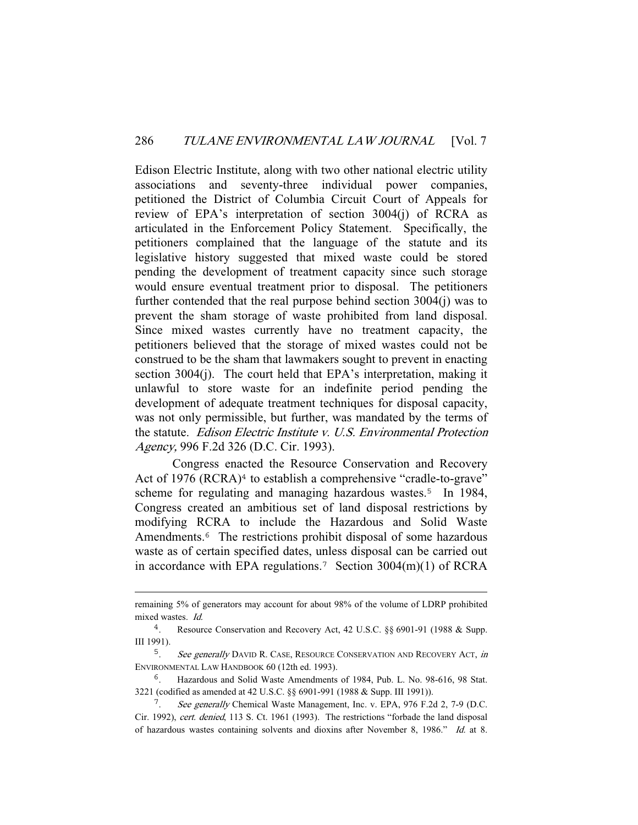Edison Electric Institute, along with two other national electric utility associations and seventy-three individual power companies, petitioned the District of Columbia Circuit Court of Appeals for review of EPA's interpretation of section 3004(j) of RCRA as articulated in the Enforcement Policy Statement. Specifically, the petitioners complained that the language of the statute and its legislative history suggested that mixed waste could be stored pending the development of treatment capacity since such storage would ensure eventual treatment prior to disposal. The petitioners further contended that the real purpose behind section 3004(j) was to prevent the sham storage of waste prohibited from land disposal. Since mixed wastes currently have no treatment capacity, the petitioners believed that the storage of mixed wastes could not be construed to be the sham that lawmakers sought to prevent in enacting section 3004(j). The court held that EPA's interpretation, making it unlawful to store waste for an indefinite period pending the development of adequate treatment techniques for disposal capacity, was not only permissible, but further, was mandated by the terms of the statute. Edison Electric Institute v. U.S. Environmental Protection Agency, 996 F.2d 326 (D.C. Cir. 1993).

 Congress enacted the Resource Conservation and Recovery Act of 1976 (RCRA)<sup>4</sup> to establish a comprehensive "cradle-to-grave" scheme for regulating and managing hazardous wastes.<sup>5</sup> In 1984, Congress created an ambitious set of land disposal restrictions by modifying RCRA to include the Hazardous and Solid Waste Amendments.<sup>6</sup> The restrictions prohibit disposal of some hazardous waste as of certain specified dates, unless disposal can be carried out in accordance with EPA regulations.<sup>7</sup> Section 3004(m)(1) of RCRA

remaining 5% of generators may account for about 98% of the volume of LDRP prohibited mixed wastes. Id.

<sup>4</sup>. Resource Conservation and Recovery Act, 42 U.S.C. §§ 6901-91 (1988 & Supp. III 1991).

<sup>&</sup>lt;sup>5</sup>. See generally DAVID R. CASE, RESOURCE CONSERVATION AND RECOVERY ACT, in ENVIRONMENTAL LAW HANDBOOK 60 (12th ed. 1993).

<sup>6</sup>. Hazardous and Solid Waste Amendments of 1984, Pub. L. No. 98-616, 98 Stat. 3221 (codified as amended at 42 U.S.C. §§ 6901-991 (1988 & Supp. III 1991)).

<sup>7</sup>. See generally Chemical Waste Management, Inc. v. EPA, 976 F.2d 2, 7-9 (D.C. Cir. 1992), cert. denied, 113 S. Ct. 1961 (1993). The restrictions "forbade the land disposal of hazardous wastes containing solvents and dioxins after November 8, 1986." Id. at 8.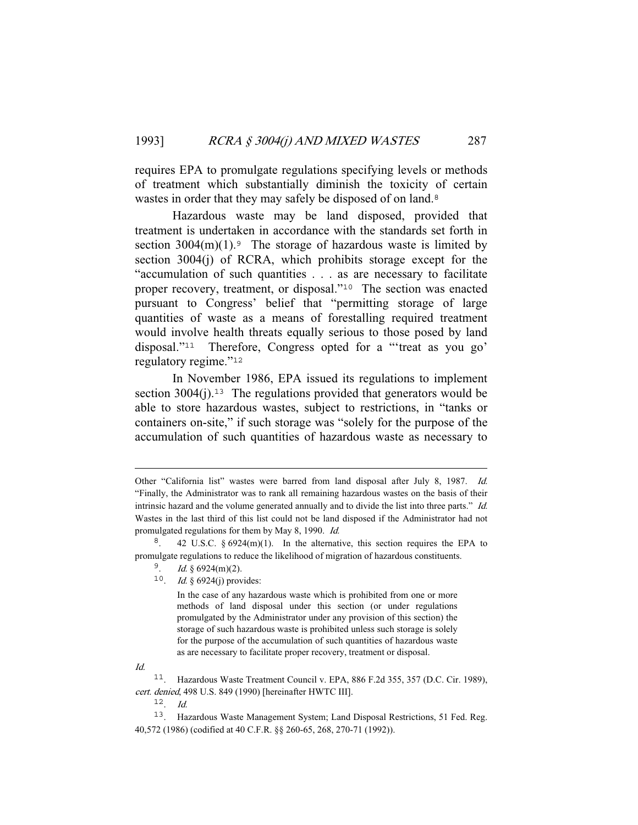requires EPA to promulgate regulations specifying levels or methods of treatment which substantially diminish the toxicity of certain wastes in order that they may safely be disposed of on land.<sup>8</sup>

 Hazardous waste may be land disposed, provided that treatment is undertaken in accordance with the standards set forth in section  $3004(m)(1)$ .<sup>9</sup> The storage of hazardous waste is limited by section 3004(j) of RCRA, which prohibits storage except for the "accumulation of such quantities . . . as are necessary to facilitate proper recovery, treatment, or disposal."<sup>10</sup> The section was enacted pursuant to Congress' belief that "permitting storage of large quantities of waste as a means of forestalling required treatment would involve health threats equally serious to those posed by land disposal."<sup>11</sup> Therefore, Congress opted for a "'treat as you go' regulatory regime."<sup>12</sup>

 In November 1986, EPA issued its regulations to implement section  $3004(i)$ .<sup>13</sup> The regulations provided that generators would be able to store hazardous wastes, subject to restrictions, in "tanks or containers on-site," if such storage was "solely for the purpose of the accumulation of such quantities of hazardous waste as necessary to

<sup>10</sup>. Id. § 6924(j) provides:

 In the case of any hazardous waste which is prohibited from one or more methods of land disposal under this section (or under regulations promulgated by the Administrator under any provision of this section) the storage of such hazardous waste is prohibited unless such storage is solely for the purpose of the accumulation of such quantities of hazardous waste as are necessary to facilitate proper recovery, treatment or disposal.

Id.

<sup>12</sup>. Id.

Other "California list" wastes were barred from land disposal after July 8, 1987. Id. "Finally, the Administrator was to rank all remaining hazardous wastes on the basis of their intrinsic hazard and the volume generated annually and to divide the list into three parts." Id. Wastes in the last third of this list could not be land disposed if the Administrator had not promulgated regulations for them by May 8, 1990. Id.

<sup>&</sup>lt;sup>8</sup>. 42 U.S.C.  $\S 6924(m)(1)$ . In the alternative, this section requires the EPA to promulgate regulations to reduce the likelihood of migration of hazardous constituents.

 $^{9}$ . *Id.* § 6924(m)(2).

<sup>11</sup>. Hazardous Waste Treatment Council v. EPA, 886 F.2d 355, 357 (D.C. Cir. 1989), cert. denied, 498 U.S. 849 (1990) [hereinafter HWTC III].

<sup>13</sup>. Hazardous Waste Management System; Land Disposal Restrictions, 51 Fed. Reg. 40,572 (1986) (codified at 40 C.F.R. §§ 260-65, 268, 270-71 (1992)).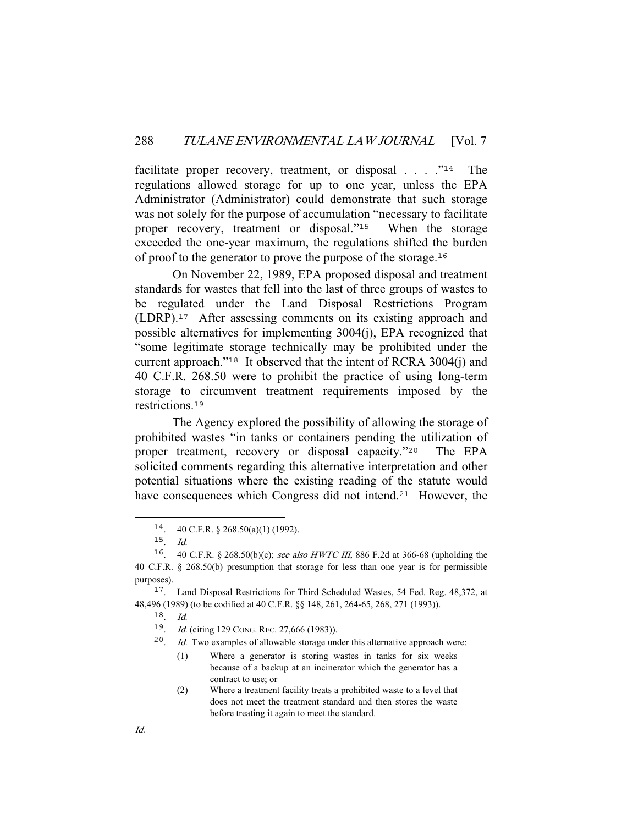facilitate proper recovery, treatment, or disposal  $\ldots$  ."<sup>14</sup> The regulations allowed storage for up to one year, unless the EPA Administrator (Administrator) could demonstrate that such storage was not solely for the purpose of accumulation "necessary to facilitate proper recovery, treatment or disposal."<sup>15</sup> When the storage exceeded the one-year maximum, the regulations shifted the burden of proof to the generator to prove the purpose of the storage.<sup>16</sup>

 On November 22, 1989, EPA proposed disposal and treatment standards for wastes that fell into the last of three groups of wastes to be regulated under the Land Disposal Restrictions Program (LDRP).<sup>17</sup> After assessing comments on its existing approach and possible alternatives for implementing 3004(j), EPA recognized that "some legitimate storage technically may be prohibited under the current approach."<sup>18</sup> It observed that the intent of RCRA 3004(j) and 40 C.F.R. 268.50 were to prohibit the practice of using long-term storage to circumvent treatment requirements imposed by the restrictions.<sup>19</sup>

 The Agency explored the possibility of allowing the storage of prohibited wastes "in tanks or containers pending the utilization of proper treatment, recovery or disposal capacity."<sup>20</sup> The EPA solicited comments regarding this alternative interpretation and other potential situations where the existing reading of the statute would have consequences which Congress did not intend.<sup>21</sup> However, the

 $18$  Id.

<sup>14</sup>. 40 C.F.R. § 268.50(a)(1) (1992).

<sup>15</sup>. Id.

<sup>16</sup>. 40 C.F.R. § 268.50(b)(c); see also HWTC III, 886 F.2d at 366-68 (upholding the 40 C.F.R. § 268.50(b) presumption that storage for less than one year is for permissible purposes).

<sup>17</sup>. Land Disposal Restrictions for Third Scheduled Wastes, 54 Fed. Reg. 48,372, at 48,496 (1989) (to be codified at 40 C.F.R. §§ 148, 261, 264-65, 268, 271 (1993)).

<sup>19</sup>. Id. (citing 129 CONG. REC. 27,666 (1983)).

 $20$ . *Id.* Two examples of allowable storage under this alternative approach were:

<sup>(1)</sup> Where a generator is storing wastes in tanks for six weeks because of a backup at an incinerator which the generator has a contract to use; or

<sup>(2)</sup> Where a treatment facility treats a prohibited waste to a level that does not meet the treatment standard and then stores the waste before treating it again to meet the standard.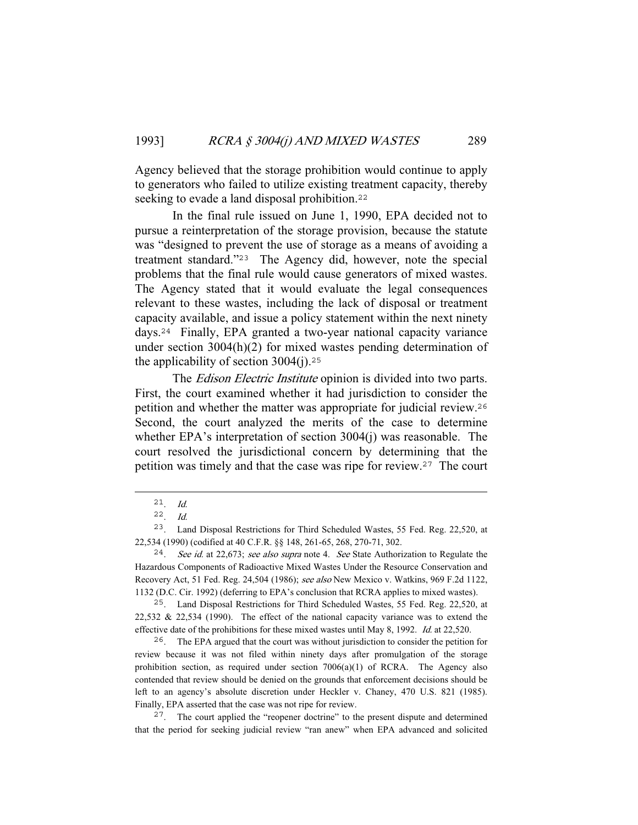Agency believed that the storage prohibition would continue to apply to generators who failed to utilize existing treatment capacity, thereby seeking to evade a land disposal prohibition.<sup>22</sup>

 In the final rule issued on June 1, 1990, EPA decided not to pursue a reinterpretation of the storage provision, because the statute was "designed to prevent the use of storage as a means of avoiding a treatment standard."<sup>23</sup> The Agency did, however, note the special problems that the final rule would cause generators of mixed wastes. The Agency stated that it would evaluate the legal consequences relevant to these wastes, including the lack of disposal or treatment capacity available, and issue a policy statement within the next ninety days.<sup>24</sup> Finally, EPA granted a two-year national capacity variance under section 3004(h)(2) for mixed wastes pending determination of the applicability of section  $3004(i).^{25}$ 

The *Edison Electric Institute* opinion is divided into two parts. First, the court examined whether it had jurisdiction to consider the petition and whether the matter was appropriate for judicial review.<sup>26</sup> Second, the court analyzed the merits of the case to determine whether EPA's interpretation of section 3004(j) was reasonable. The court resolved the jurisdictional concern by determining that the petition was timely and that the case was ripe for review.<sup>27</sup> The court

<sup>26</sup>. The EPA argued that the court was without jurisdiction to consider the petition for review because it was not filed within ninety days after promulgation of the storage prohibition section, as required under section  $7006(a)(1)$  of RCRA. The Agency also contended that review should be denied on the grounds that enforcement decisions should be left to an agency's absolute discretion under Heckler v. Chaney, 470 U.S. 821 (1985). Finally, EPA asserted that the case was not ripe for review.

<sup>27</sup>. The court applied the "reopener doctrine" to the present dispute and determined that the period for seeking judicial review "ran anew" when EPA advanced and solicited

<sup>21</sup>. Id.

 $22$  Id.

<sup>23</sup>. Land Disposal Restrictions for Third Scheduled Wastes, 55 Fed. Reg. 22,520, at 22,534 (1990) (codified at 40 C.F.R. §§ 148, 261-65, 268, 270-71, 302.

<sup>&</sup>lt;sup>24</sup>. See id. at 22,673; see also supra note 4. See State Authorization to Regulate the Hazardous Components of Radioactive Mixed Wastes Under the Resource Conservation and Recovery Act, 51 Fed. Reg. 24,504 (1986); see also New Mexico v. Watkins, 969 F.2d 1122, 1132 (D.C. Cir. 1992) (deferring to EPA's conclusion that RCRA applies to mixed wastes).

<sup>25</sup>. Land Disposal Restrictions for Third Scheduled Wastes, 55 Fed. Reg. 22,520, at 22,532 & 22,534 (1990). The effect of the national capacity variance was to extend the effective date of the prohibitions for these mixed wastes until May 8, 1992. Id. at 22,520.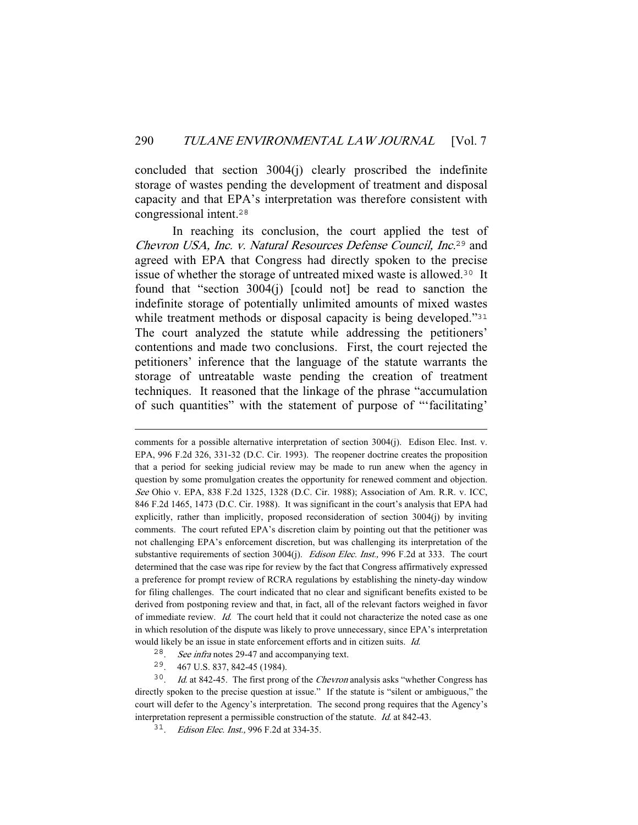concluded that section 3004(j) clearly proscribed the indefinite storage of wastes pending the development of treatment and disposal capacity and that EPA's interpretation was therefore consistent with congressional intent.<sup>28</sup>

 In reaching its conclusion, the court applied the test of Chevron USA, Inc. v. Natural Resources Defense Council, Inc.<sup>29</sup> and agreed with EPA that Congress had directly spoken to the precise issue of whether the storage of untreated mixed waste is allowed.<sup>30</sup> It found that "section 3004(j) [could not] be read to sanction the indefinite storage of potentially unlimited amounts of mixed wastes while treatment methods or disposal capacity is being developed."<sup>31</sup> The court analyzed the statute while addressing the petitioners' contentions and made two conclusions. First, the court rejected the petitioners' inference that the language of the statute warrants the storage of untreatable waste pending the creation of treatment techniques. It reasoned that the linkage of the phrase "accumulation of such quantities" with the statement of purpose of "'facilitating'

- <sup>28</sup>. See infra notes 29-47 and accompanying text.
- <sup>29</sup>. 467 U.S. 837, 842-45 (1984).

<sup>30</sup>. *Id.* at 842-45. The first prong of the *Chevron* analysis asks "whether Congress has directly spoken to the precise question at issue." If the statute is "silent or ambiguous," the court will defer to the Agency's interpretation. The second prong requires that the Agency's interpretation represent a permissible construction of the statute. Id. at 842-43.

<sup>31</sup>. *Edison Elec. Inst.*, 996 F.2d at 334-35.

comments for a possible alternative interpretation of section 3004(j). Edison Elec. Inst. v. EPA, 996 F.2d 326, 331-32 (D.C. Cir. 1993). The reopener doctrine creates the proposition that a period for seeking judicial review may be made to run anew when the agency in question by some promulgation creates the opportunity for renewed comment and objection. See Ohio v. EPA, 838 F.2d 1325, 1328 (D.C. Cir. 1988); Association of Am. R.R. v. ICC, 846 F.2d 1465, 1473 (D.C. Cir. 1988). It was significant in the court's analysis that EPA had explicitly, rather than implicitly, proposed reconsideration of section 3004(j) by inviting comments. The court refuted EPA's discretion claim by pointing out that the petitioner was not challenging EPA's enforcement discretion, but was challenging its interpretation of the substantive requirements of section 3004(j). Edison Elec. Inst., 996 F.2d at 333. The court determined that the case was ripe for review by the fact that Congress affirmatively expressed a preference for prompt review of RCRA regulations by establishing the ninety-day window for filing challenges. The court indicated that no clear and significant benefits existed to be derived from postponing review and that, in fact, all of the relevant factors weighed in favor of immediate review. Id. The court held that it could not characterize the noted case as one in which resolution of the dispute was likely to prove unnecessary, since EPA's interpretation would likely be an issue in state enforcement efforts and in citizen suits. Id.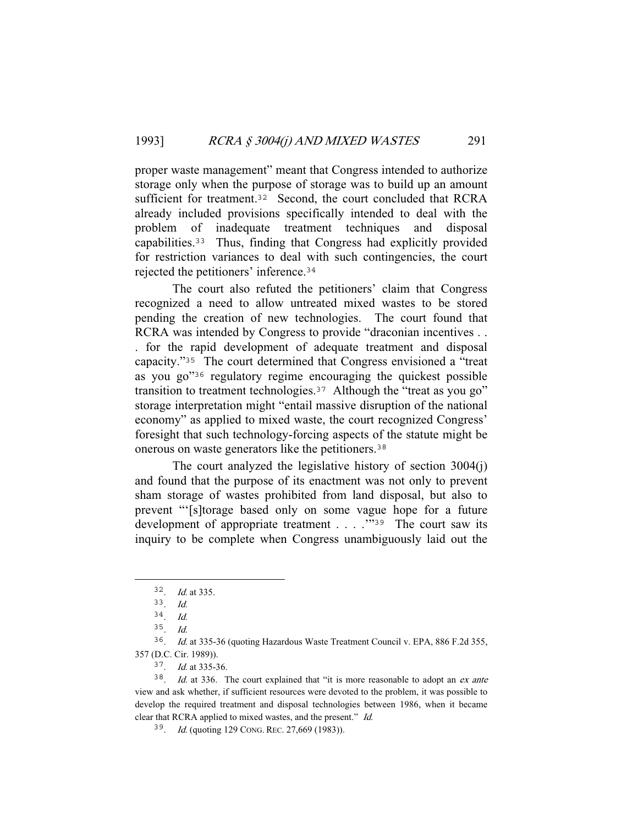proper waste management" meant that Congress intended to authorize storage only when the purpose of storage was to build up an amount sufficient for treatment.<sup>32</sup> Second, the court concluded that RCRA already included provisions specifically intended to deal with the problem of inadequate treatment techniques and disposal capabilities.<sup>33</sup> Thus, finding that Congress had explicitly provided for restriction variances to deal with such contingencies, the court rejected the petitioners' inference.<sup>34</sup>

 The court also refuted the petitioners' claim that Congress recognized a need to allow untreated mixed wastes to be stored pending the creation of new technologies. The court found that RCRA was intended by Congress to provide "draconian incentives . . . for the rapid development of adequate treatment and disposal capacity."<sup>35</sup> The court determined that Congress envisioned a "treat as you go"<sup>36</sup> regulatory regime encouraging the quickest possible transition to treatment technologies.<sup>37</sup> Although the "treat as you go" storage interpretation might "entail massive disruption of the national economy" as applied to mixed waste, the court recognized Congress' foresight that such technology-forcing aspects of the statute might be onerous on waste generators like the petitioners.<sup>38</sup>

 The court analyzed the legislative history of section 3004(j) and found that the purpose of its enactment was not only to prevent sham storage of wastes prohibited from land disposal, but also to prevent "'[s]torage based only on some vague hope for a future development of appropriate treatment . . . . . . . . . . The court saw its inquiry to be complete when Congress unambiguously laid out the

<sup>36</sup>. Id. at 335-36 (quoting Hazardous Waste Treatment Council v. EPA, 886 F.2d 355, 357 (D.C. Cir. 1989)).

<sup>37</sup>. Id. at 335-36.

 $38$ . *Id.* at 336. The court explained that "it is more reasonable to adopt an *ex ante* view and ask whether, if sufficient resources were devoted to the problem, it was possible to develop the required treatment and disposal technologies between 1986, when it became clear that RCRA applied to mixed wastes, and the present." Id.

<sup>39</sup>. Id. (quoting 129 CONG. REC. 27,669 (1983)).

<sup>32</sup>. Id. at 335.

<sup>33</sup>. Id.

<sup>34</sup>. Id.

 $35.$  *Id.*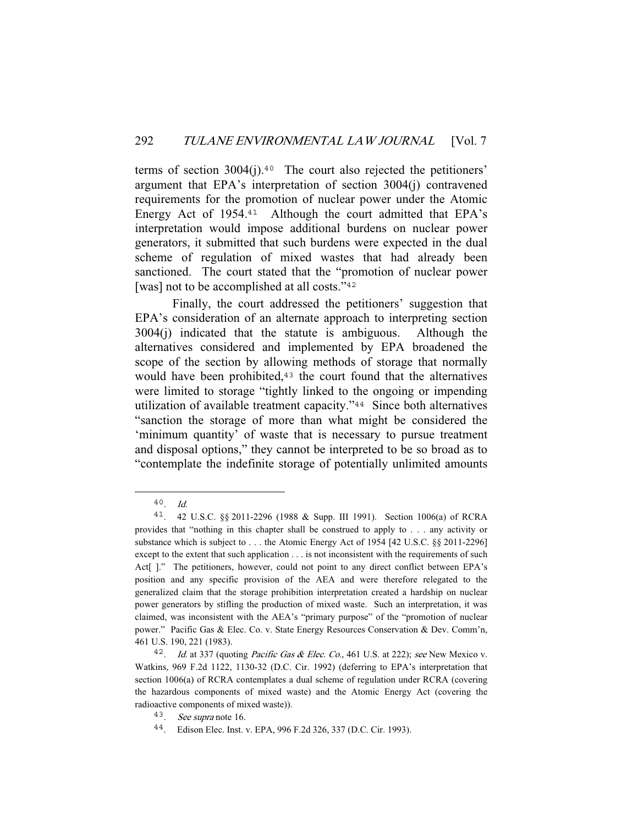terms of section  $3004(j).40$  The court also rejected the petitioners' argument that EPA's interpretation of section 3004(j) contravened requirements for the promotion of nuclear power under the Atomic Energy Act of 1954.<sup>41</sup> Although the court admitted that EPA's interpretation would impose additional burdens on nuclear power generators, it submitted that such burdens were expected in the dual scheme of regulation of mixed wastes that had already been sanctioned. The court stated that the "promotion of nuclear power [was] not to be accomplished at all costs."<sup>42</sup>

 Finally, the court addressed the petitioners' suggestion that EPA's consideration of an alternate approach to interpreting section 3004(j) indicated that the statute is ambiguous. Although the alternatives considered and implemented by EPA broadened the scope of the section by allowing methods of storage that normally would have been prohibited,<sup>43</sup> the court found that the alternatives were limited to storage "tightly linked to the ongoing or impending utilization of available treatment capacity."<sup>44</sup> Since both alternatives "sanction the storage of more than what might be considered the 'minimum quantity' of waste that is necessary to pursue treatment and disposal options," they cannot be interpreted to be so broad as to "contemplate the indefinite storage of potentially unlimited amounts

 $40$ . Id.

<sup>41</sup>. 42 U.S.C. §§ 2011-2296 (1988 & Supp. III 1991). Section 1006(a) of RCRA provides that "nothing in this chapter shall be construed to apply to . . . any activity or substance which is subject to . . . the Atomic Energy Act of 1954 [42 U.S.C. §§ 2011-2296] except to the extent that such application . . . is not inconsistent with the requirements of such Act[ ]." The petitioners, however, could not point to any direct conflict between EPA's position and any specific provision of the AEA and were therefore relegated to the generalized claim that the storage prohibition interpretation created a hardship on nuclear power generators by stifling the production of mixed waste. Such an interpretation, it was claimed, was inconsistent with the AEA's "primary purpose" of the "promotion of nuclear power." Pacific Gas & Elec. Co. v. State Energy Resources Conservation & Dev. Comm'n, 461 U.S. 190, 221 (1983).

<sup>&</sup>lt;sup>42</sup>. *Id.* at 337 (quoting *Pacific Gas & Elec. Co.*, 461 U.S. at 222); see New Mexico v. Watkins, 969 F.2d 1122, 1130-32 (D.C. Cir. 1992) (deferring to EPA's interpretation that section 1006(a) of RCRA contemplates a dual scheme of regulation under RCRA (covering the hazardous components of mixed waste) and the Atomic Energy Act (covering the radioactive components of mixed waste)).

<sup>43</sup>. See supra note 16.

<sup>44</sup>. Edison Elec. Inst. v. EPA, 996 F.2d 326, 337 (D.C. Cir. 1993).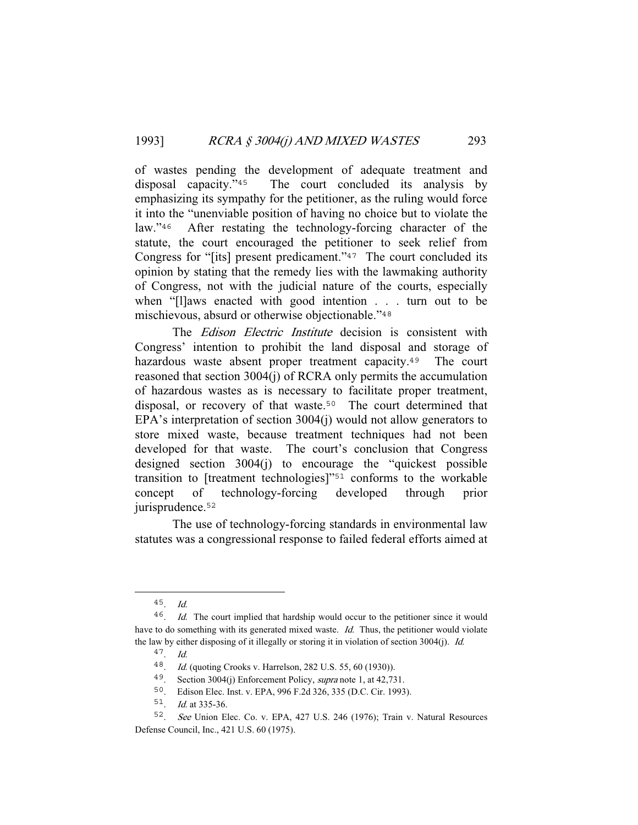of wastes pending the development of adequate treatment and disposal capacity."<sup>45</sup> The court concluded its analysis by emphasizing its sympathy for the petitioner, as the ruling would force it into the "unenviable position of having no choice but to violate the law."<sup>46</sup> After restating the technology-forcing character of the statute, the court encouraged the petitioner to seek relief from Congress for "[its] present predicament."<sup>47</sup> The court concluded its opinion by stating that the remedy lies with the lawmaking authority of Congress, not with the judicial nature of the courts, especially when "[l]aws enacted with good intention . . . turn out to be mischievous, absurd or otherwise objectionable."<sup>48</sup>

The *Edison Electric Institute* decision is consistent with Congress' intention to prohibit the land disposal and storage of hazardous waste absent proper treatment capacity.<sup>49</sup> The court reasoned that section 3004(j) of RCRA only permits the accumulation of hazardous wastes as is necessary to facilitate proper treatment, disposal, or recovery of that waste.<sup>50</sup> The court determined that EPA's interpretation of section 3004(j) would not allow generators to store mixed waste, because treatment techniques had not been developed for that waste. The court's conclusion that Congress designed section 3004(j) to encourage the "quickest possible transition to [treatment technologies]"<sup>51</sup> conforms to the workable concept of technology-forcing developed through prior jurisprudence.<sup>52</sup>

 The use of technology-forcing standards in environmental law statutes was a congressional response to failed federal efforts aimed at

<sup>45</sup>. Id.

<sup>&</sup>lt;sup>46</sup>. *Id.* The court implied that hardship would occur to the petitioner since it would have to do something with its generated mixed waste. Id. Thus, the petitioner would violate the law by either disposing of it illegally or storing it in violation of section 3004(j). Id.

<sup>47</sup>. Id.

<sup>48</sup>. Id. (quoting Crooks v. Harrelson, 282 U.S. 55, 60 (1930)).

<sup>49</sup>. Section 3004(j) Enforcement Policy, supra note 1, at 42,731.

<sup>50</sup>. Edison Elec. Inst. v. EPA, 996 F.2d 326, 335 (D.C. Cir. 1993).

<sup>51</sup>. Id. at 335-36.

<sup>52</sup>. See Union Elec. Co. v. EPA, 427 U.S. 246 (1976); Train v. Natural Resources Defense Council, Inc., 421 U.S. 60 (1975).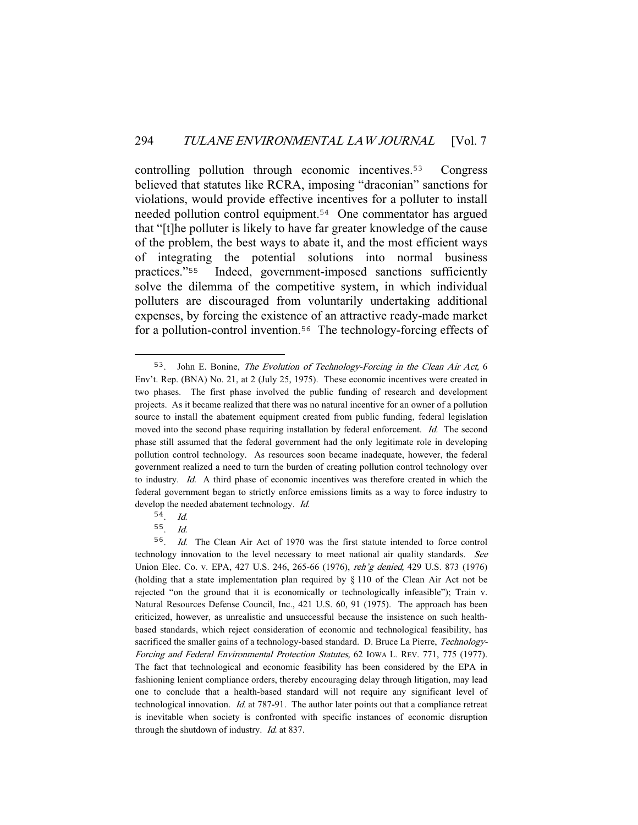controlling pollution through economic incentives.<sup>53</sup> Congress believed that statutes like RCRA, imposing "draconian" sanctions for violations, would provide effective incentives for a polluter to install needed pollution control equipment.<sup>54</sup> One commentator has argued that "[t]he polluter is likely to have far greater knowledge of the cause of the problem, the best ways to abate it, and the most efficient ways of integrating the potential solutions into normal business practices."<sup>55</sup> Indeed, government-imposed sanctions sufficiently solve the dilemma of the competitive system, in which individual polluters are discouraged from voluntarily undertaking additional expenses, by forcing the existence of an attractive ready-made market for a pollution-control invention.<sup>56</sup> The technology-forcing effects of

<sup>53</sup>. John E. Bonine, The Evolution of Technology-Forcing in the Clean Air Act, 6 Env't. Rep. (BNA) No. 21, at 2 (July 25, 1975). These economic incentives were created in two phases. The first phase involved the public funding of research and development projects. As it became realized that there was no natural incentive for an owner of a pollution source to install the abatement equipment created from public funding, federal legislation moved into the second phase requiring installation by federal enforcement. Id. The second phase still assumed that the federal government had the only legitimate role in developing pollution control technology. As resources soon became inadequate, however, the federal government realized a need to turn the burden of creating pollution control technology over to industry. Id. A third phase of economic incentives was therefore created in which the federal government began to strictly enforce emissions limits as a way to force industry to develop the needed abatement technology. Id.

<sup>54</sup>. Id.

<sup>55</sup>. Id.

<sup>56</sup>. Id. The Clean Air Act of 1970 was the first statute intended to force control technology innovation to the level necessary to meet national air quality standards. See Union Elec. Co. v. EPA, 427 U.S. 246, 265-66 (1976), reh'g denied, 429 U.S. 873 (1976) (holding that a state implementation plan required by § 110 of the Clean Air Act not be rejected "on the ground that it is economically or technologically infeasible"); Train v. Natural Resources Defense Council, Inc., 421 U.S. 60, 91 (1975). The approach has been criticized, however, as unrealistic and unsuccessful because the insistence on such healthbased standards, which reject consideration of economic and technological feasibility, has sacrificed the smaller gains of a technology-based standard. D. Bruce La Pierre, Technology-Forcing and Federal Environmental Protection Statutes, 62 IOWA L. REV. 771, 775 (1977). The fact that technological and economic feasibility has been considered by the EPA in fashioning lenient compliance orders, thereby encouraging delay through litigation, may lead one to conclude that a health-based standard will not require any significant level of technological innovation. Id. at 787-91. The author later points out that a compliance retreat is inevitable when society is confronted with specific instances of economic disruption through the shutdown of industry. Id. at 837.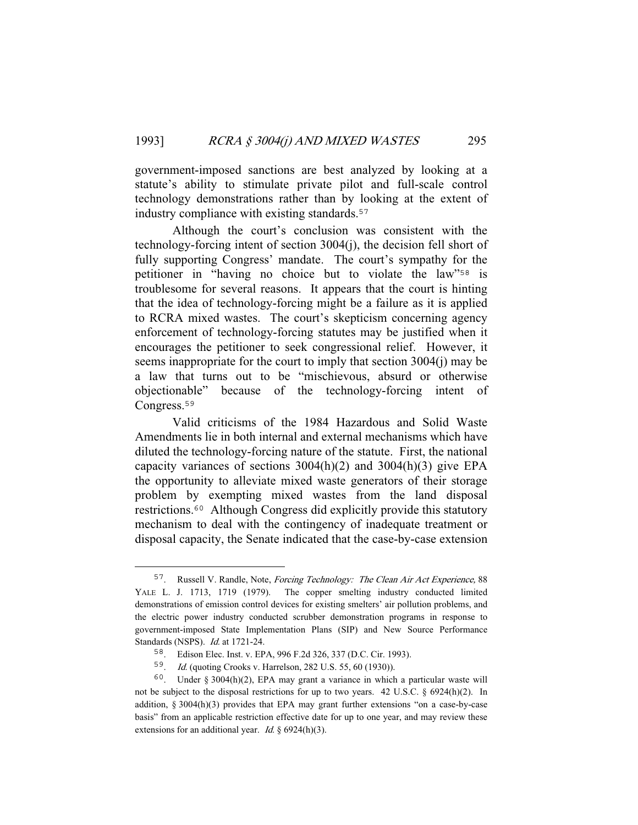government-imposed sanctions are best analyzed by looking at a statute's ability to stimulate private pilot and full-scale control technology demonstrations rather than by looking at the extent of industry compliance with existing standards.<sup>57</sup>

 Although the court's conclusion was consistent with the technology-forcing intent of section 3004(j), the decision fell short of fully supporting Congress' mandate. The court's sympathy for the petitioner in "having no choice but to violate the law"<sup>58</sup> is troublesome for several reasons. It appears that the court is hinting that the idea of technology-forcing might be a failure as it is applied to RCRA mixed wastes. The court's skepticism concerning agency enforcement of technology-forcing statutes may be justified when it encourages the petitioner to seek congressional relief. However, it seems inappropriate for the court to imply that section 3004(j) may be a law that turns out to be "mischievous, absurd or otherwise objectionable" because of the technology-forcing intent of Congress.<sup>59</sup>

 Valid criticisms of the 1984 Hazardous and Solid Waste Amendments lie in both internal and external mechanisms which have diluted the technology-forcing nature of the statute. First, the national capacity variances of sections  $3004(h)(2)$  and  $3004(h)(3)$  give EPA the opportunity to alleviate mixed waste generators of their storage problem by exempting mixed wastes from the land disposal restrictions.<sup>60</sup> Although Congress did explicitly provide this statutory mechanism to deal with the contingency of inadequate treatment or disposal capacity, the Senate indicated that the case-by-case extension

<sup>57</sup>. Russell V. Randle, Note, Forcing Technology: The Clean Air Act Experience, 88 YALE L. J. 1713, 1719 (1979). The copper smelting industry conducted limited demonstrations of emission control devices for existing smelters' air pollution problems, and the electric power industry conducted scrubber demonstration programs in response to government-imposed State Implementation Plans (SIP) and New Source Performance Standards (NSPS). Id. at 1721-24.

<sup>58</sup>. Edison Elec. Inst. v. EPA, 996 F.2d 326, 337 (D.C. Cir. 1993).

<sup>59</sup>. Id. (quoting Crooks v. Harrelson, 282 U.S. 55, 60 (1930)).

<sup>&</sup>lt;sup>60</sup>. Under § 3004(h)(2), EPA may grant a variance in which a particular waste will not be subject to the disposal restrictions for up to two years. 42 U.S.C. § 6924(h)(2). In addition, § 3004(h)(3) provides that EPA may grant further extensions "on a case-by-case basis" from an applicable restriction effective date for up to one year, and may review these extensions for an additional year. *Id.* § 6924(h)(3).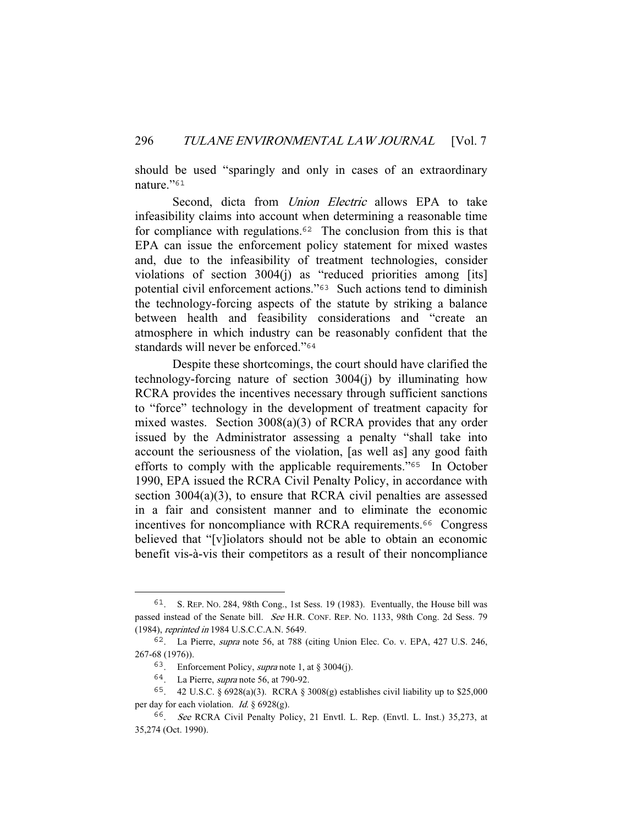should be used "sparingly and only in cases of an extraordinary nature."<sup>61</sup>

Second, dicta from *Union Electric* allows EPA to take infeasibility claims into account when determining a reasonable time for compliance with regulations.<sup>62</sup> The conclusion from this is that EPA can issue the enforcement policy statement for mixed wastes and, due to the infeasibility of treatment technologies, consider violations of section 3004(j) as "reduced priorities among [its] potential civil enforcement actions."<sup>63</sup> Such actions tend to diminish the technology-forcing aspects of the statute by striking a balance between health and feasibility considerations and "create an atmosphere in which industry can be reasonably confident that the standards will never be enforced."<sup>64</sup>

 Despite these shortcomings, the court should have clarified the technology-forcing nature of section 3004(j) by illuminating how RCRA provides the incentives necessary through sufficient sanctions to "force" technology in the development of treatment capacity for mixed wastes. Section 3008(a)(3) of RCRA provides that any order issued by the Administrator assessing a penalty "shall take into account the seriousness of the violation, [as well as] any good faith efforts to comply with the applicable requirements."<sup>65</sup> In October 1990, EPA issued the RCRA Civil Penalty Policy, in accordance with section 3004(a)(3), to ensure that RCRA civil penalties are assessed in a fair and consistent manner and to eliminate the economic incentives for noncompliance with RCRA requirements.<sup>66</sup> Congress believed that "[v]iolators should not be able to obtain an economic benefit vis-à-vis their competitors as a result of their noncompliance

<sup>61</sup>. S. REP. NO. 284, 98th Cong., 1st Sess. 19 (1983). Eventually, the House bill was passed instead of the Senate bill. See H.R. CONF. REP. NO. 1133, 98th Cong. 2d Sess. 79 (1984), reprinted in 1984 U.S.C.C.A.N. 5649.

<sup>62</sup>. La Pierre, supra note 56, at 788 (citing Union Elec. Co. v. EPA, 427 U.S. 246, 267-68 (1976)).

<sup>&</sup>lt;sup>63</sup>. Enforcement Policy, *supra* note 1, at § 3004(j).

<sup>64</sup>. La Pierre, supra note 56, at 790-92.

<sup>65</sup>. 42 U.S.C. § 6928(a)(3). RCRA § 3008(g) establishes civil liability up to \$25,000 per day for each violation. *Id.*  $§ 6928(g)$ .

<sup>66</sup>. See RCRA Civil Penalty Policy, 21 Envtl. L. Rep. (Envtl. L. Inst.) 35,273, at 35,274 (Oct. 1990).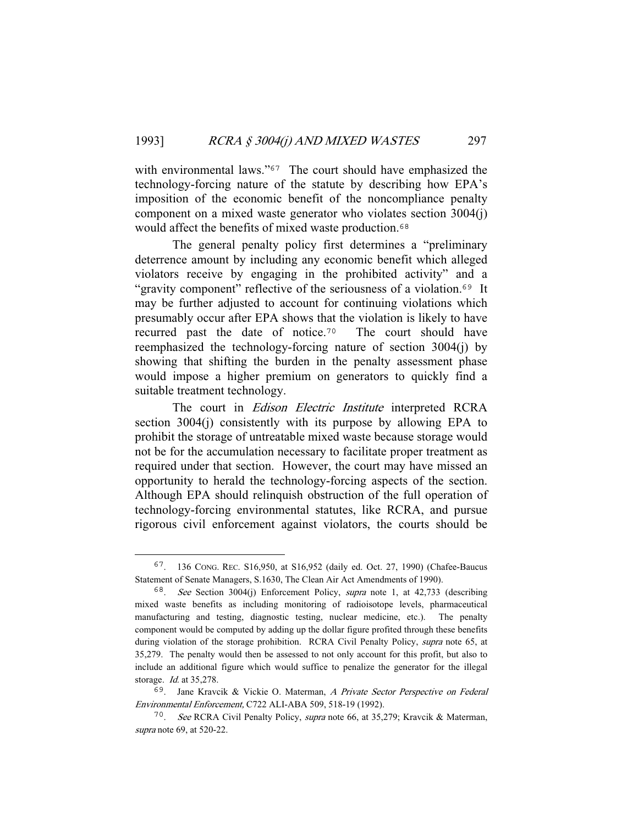with environmental laws."<sup>67</sup> The court should have emphasized the technology-forcing nature of the statute by describing how EPA's imposition of the economic benefit of the noncompliance penalty component on a mixed waste generator who violates section 3004(j) would affect the benefits of mixed waste production.<sup>68</sup>

 The general penalty policy first determines a "preliminary deterrence amount by including any economic benefit which alleged violators receive by engaging in the prohibited activity" and a "gravity component" reflective of the seriousness of a violation.<sup>69</sup> It may be further adjusted to account for continuing violations which presumably occur after EPA shows that the violation is likely to have recurred past the date of notice.<sup>70</sup> The court should have reemphasized the technology-forcing nature of section 3004(j) by showing that shifting the burden in the penalty assessment phase would impose a higher premium on generators to quickly find a suitable treatment technology.

 The court in Edison Electric Institute interpreted RCRA section 3004(j) consistently with its purpose by allowing EPA to prohibit the storage of untreatable mixed waste because storage would not be for the accumulation necessary to facilitate proper treatment as required under that section. However, the court may have missed an opportunity to herald the technology-forcing aspects of the section. Although EPA should relinquish obstruction of the full operation of technology-forcing environmental statutes, like RCRA, and pursue rigorous civil enforcement against violators, the courts should be

<sup>67</sup>. 136 CONG. REC. S16,950, at S16,952 (daily ed. Oct. 27, 1990) (Chafee-Baucus Statement of Senate Managers, S.1630, The Clean Air Act Amendments of 1990).

<sup>68</sup>. See Section 3004(j) Enforcement Policy, supra note 1, at 42,733 (describing mixed waste benefits as including monitoring of radioisotope levels, pharmaceutical manufacturing and testing, diagnostic testing, nuclear medicine, etc.). The penalty component would be computed by adding up the dollar figure profited through these benefits during violation of the storage prohibition. RCRA Civil Penalty Policy, supra note 65, at 35,279. The penalty would then be assessed to not only account for this profit, but also to include an additional figure which would suffice to penalize the generator for the illegal storage. Id. at 35,278.

<sup>69</sup>. Jane Kravcik & Vickie O. Materman, A Private Sector Perspective on Federal Environmental Enforcement, C722 ALI-ABA 509, 518-19 (1992).

<sup>70</sup>. See RCRA Civil Penalty Policy, supra note 66, at 35,279; Kravcik & Materman, supra note 69, at 520-22.